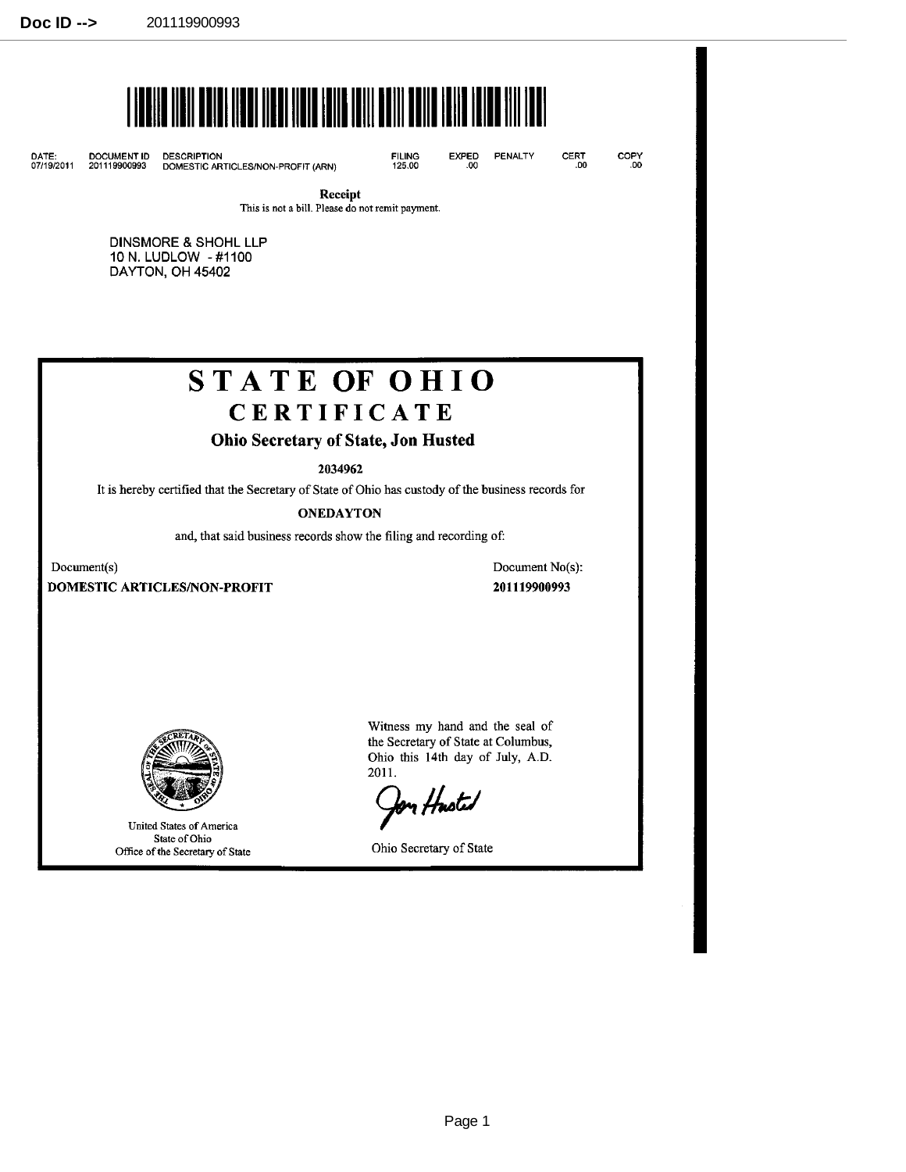

DATE: DOCUMENT ID DESCRIPTION

DESCRIPTION<br>DOMESTIC ARTICLES/NON-PROFIT (ARN)

FILING 125.00

PENALTY EXPED

COPY .00

CERT .00

Receipt

This is not a bill. Please do not remit payment.

DINSMORE & SHOHL LLP 10 N. LUDLOW -#1100 DAYTON, OH 45402

# **STATE OF OHIO CERTIFICATE**

## Ohio Secretary of State, Jon Husted

2034962

It is hereby certified that the Secretary of State of Ohio has custody of the business records for

**ONEDAYTON** 

and, that said business records show the filing and recording of:

Document(s)

DOMESTIC ARTICLES/NON-PROFIT

Document No(s): 201119900993



United States of America State of Ohio Office of the Secretary of State

Witness my hand and the seal of the Secretary of State at Columbus, Ohio this 14th day of July, A.D. 2011.

fon Hasted

Ohio Secretary of State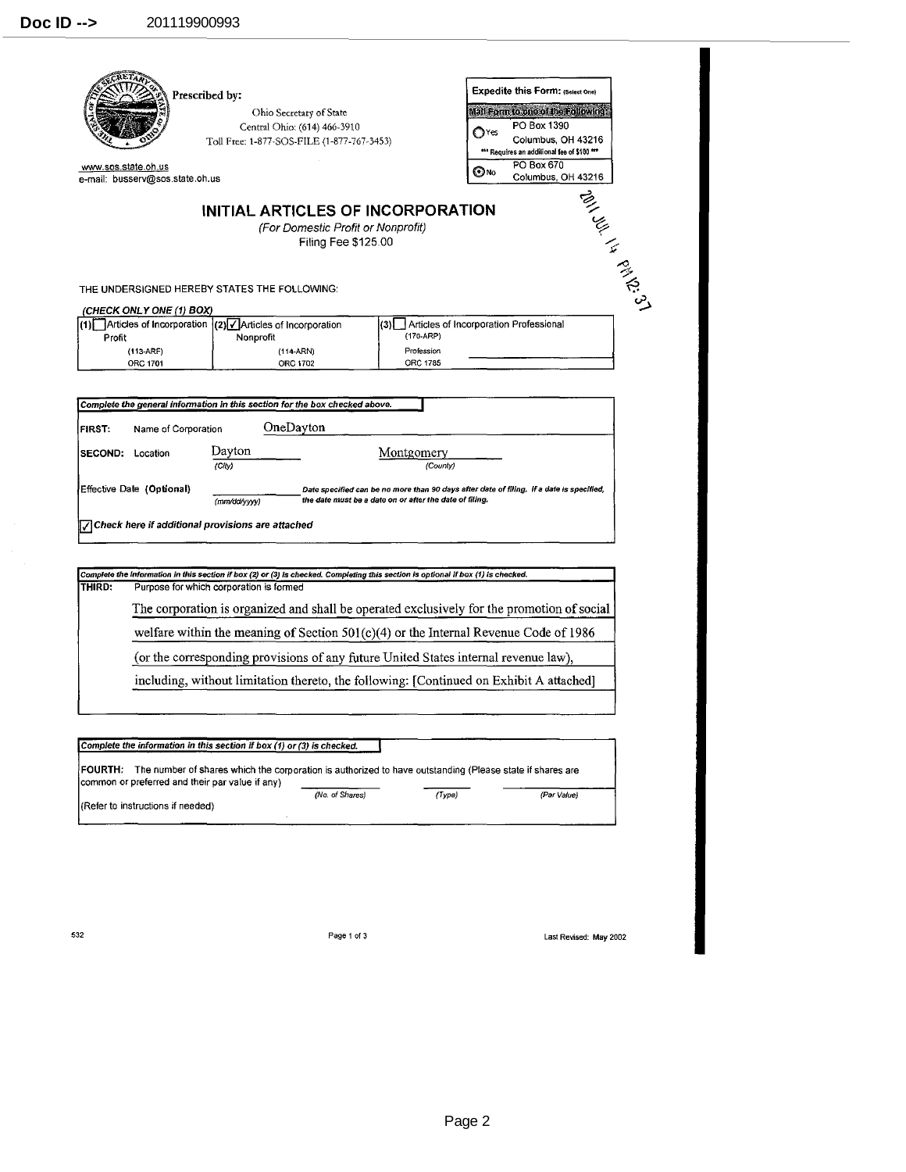| Prescribed by:                                                                                                                                |                                                                                                                                                                              | <b>Expedite this Form: (Select One)</b>                 |                                                                                          |  |  |  |
|-----------------------------------------------------------------------------------------------------------------------------------------------|------------------------------------------------------------------------------------------------------------------------------------------------------------------------------|---------------------------------------------------------|------------------------------------------------------------------------------------------|--|--|--|
|                                                                                                                                               |                                                                                                                                                                              | Mail Form to one of the Following:                      |                                                                                          |  |  |  |
|                                                                                                                                               | Central Ohio: (614) 466-3910                                                                                                                                                 |                                                         | PO Box 1390<br>$\mathbf{C}^{\text{Yes}}$                                                 |  |  |  |
|                                                                                                                                               | Toll Free: 1-877-SOS-FILE (1-877-767-3453)                                                                                                                                   |                                                         |                                                                                          |  |  |  |
|                                                                                                                                               |                                                                                                                                                                              |                                                         | *** Requires an additional fee of \$100 ***<br><b>PO Box 670</b><br>⊚∧o                  |  |  |  |
|                                                                                                                                               | www.sos.state.oh.us<br>e-mail: busserv@sos.state.oh.us                                                                                                                       |                                                         |                                                                                          |  |  |  |
|                                                                                                                                               | INITIAL ARTICLES OF INCORPORATION<br>(For Domestic Profit or Nonprofit)<br>Filing Fee \$125.00<br>THE UNDERSIGNED HEREBY STATES THE FOLLOWING:                               |                                                         | A 1991 29 14 28 29 31                                                                    |  |  |  |
| (CHECK ONLY ONE (1) BOX)<br>(1) Articles of Incorporation                                                                                     |                                                                                                                                                                              |                                                         | Articles of Incorporation Professional                                                   |  |  |  |
| Profit                                                                                                                                        | $(2)$ Articles of Incorporation<br>Nonprofit                                                                                                                                 | (3)]<br>(170-ARP)                                       |                                                                                          |  |  |  |
| $(113-ARF)$                                                                                                                                   | (114-ARN)                                                                                                                                                                    | Profession                                              |                                                                                          |  |  |  |
| ORC 1701                                                                                                                                      | ORC 1702                                                                                                                                                                     | ORC 1785                                                |                                                                                          |  |  |  |
| Name of Corporation                                                                                                                           | OneDayton<br>Davton                                                                                                                                                          | Montgomery                                              |                                                                                          |  |  |  |
|                                                                                                                                               | (City)                                                                                                                                                                       | (County)                                                |                                                                                          |  |  |  |
|                                                                                                                                               | (mm/dd/yyyy)                                                                                                                                                                 | the date must be a date on or after the date of filing. | Date specified can be no more than 90 days after date of filing. If a date is specified, |  |  |  |
|                                                                                                                                               |                                                                                                                                                                              |                                                         |                                                                                          |  |  |  |
| <b>FIRST</b><br><b>SECOND: Location</b><br>Effective Date (Optional)<br>$\sqrt{\phantom{a}}$ Check here if additional provisions are attached |                                                                                                                                                                              |                                                         |                                                                                          |  |  |  |
|                                                                                                                                               | Complete the information in this section if box (2) or (3) is checked. Completing this section is optional if box (1) is checked.<br>Purpose for which corporation is formed |                                                         |                                                                                          |  |  |  |
| THIRD:                                                                                                                                        | The corporation is organized and shall be operated exclusively for the promotion of social                                                                                   |                                                         |                                                                                          |  |  |  |
|                                                                                                                                               | welfare within the meaning of Section $501(c)(4)$ or the Internal Revenue Code of 1986                                                                                       |                                                         |                                                                                          |  |  |  |
|                                                                                                                                               | (or the corresponding provisions of any future United States internal revenue law),                                                                                          |                                                         |                                                                                          |  |  |  |
|                                                                                                                                               | including, without limitation thereto, the following: [Continued on Exhibit A attached]                                                                                      |                                                         |                                                                                          |  |  |  |
|                                                                                                                                               |                                                                                                                                                                              |                                                         |                                                                                          |  |  |  |
|                                                                                                                                               | Complete the information in this section if box (1) or (3) is checked.                                                                                                       |                                                         |                                                                                          |  |  |  |

(Refer to instructions if needed}

 $\overline{\phantom{a}}$ 

532 Page1of3 Last Revised: May 2002

(No. of Shares) (Type) (Par Value)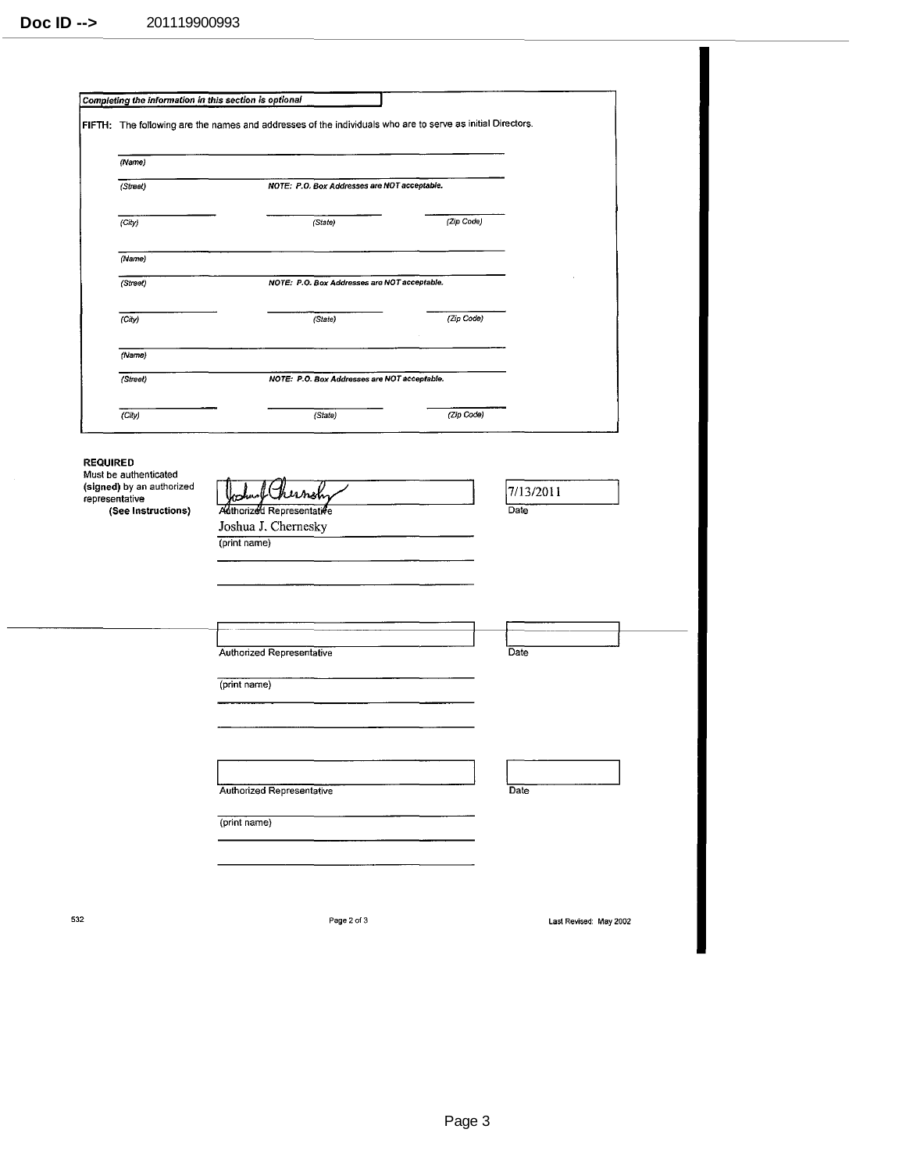|                 | FIFTH: The following are the names and addresses of the individuals who are to serve as initial Directors. |                                                                  |                                              |            |                   |  |  |
|-----------------|------------------------------------------------------------------------------------------------------------|------------------------------------------------------------------|----------------------------------------------|------------|-------------------|--|--|
|                 | (Name)                                                                                                     |                                                                  |                                              |            |                   |  |  |
|                 | (Street)                                                                                                   | NOTE: P.O. Box Addresses are NOT acceptable.                     |                                              |            |                   |  |  |
|                 | (City)                                                                                                     |                                                                  | (State)                                      | (Zip Code) |                   |  |  |
|                 | (Name)                                                                                                     |                                                                  |                                              |            |                   |  |  |
|                 | (Street)                                                                                                   | NOTE: P.O. Box Addresses are NOT acceptable.                     |                                              |            |                   |  |  |
|                 | (City)                                                                                                     |                                                                  | (State)                                      | (Zip Code) |                   |  |  |
|                 | (Name)                                                                                                     |                                                                  |                                              |            |                   |  |  |
|                 | (Street)                                                                                                   |                                                                  | NOTE: P.O. Box Addresses are NOT acceptable. |            |                   |  |  |
|                 | (City)                                                                                                     |                                                                  | (State)                                      | (Zip Code) |                   |  |  |
|                 | Must be authenticated<br>(signed) by an authorized<br>representative<br>(See Instructions)                 | Authorized Representative<br>Joshua J. Chernesky<br>(print name) | ernsh                                        |            | 7/13/2011<br>Date |  |  |
|                 |                                                                                                            |                                                                  |                                              |            |                   |  |  |
|                 |                                                                                                            |                                                                  |                                              |            |                   |  |  |
|                 |                                                                                                            | Authorized Representative                                        |                                              |            | Date              |  |  |
|                 |                                                                                                            | (print name)                                                     |                                              |            |                   |  |  |
|                 |                                                                                                            |                                                                  |                                              |            |                   |  |  |
|                 |                                                                                                            | Authorized Representative                                        |                                              |            | Date              |  |  |
| <b>REQUIRED</b> |                                                                                                            | (print name)                                                     |                                              |            |                   |  |  |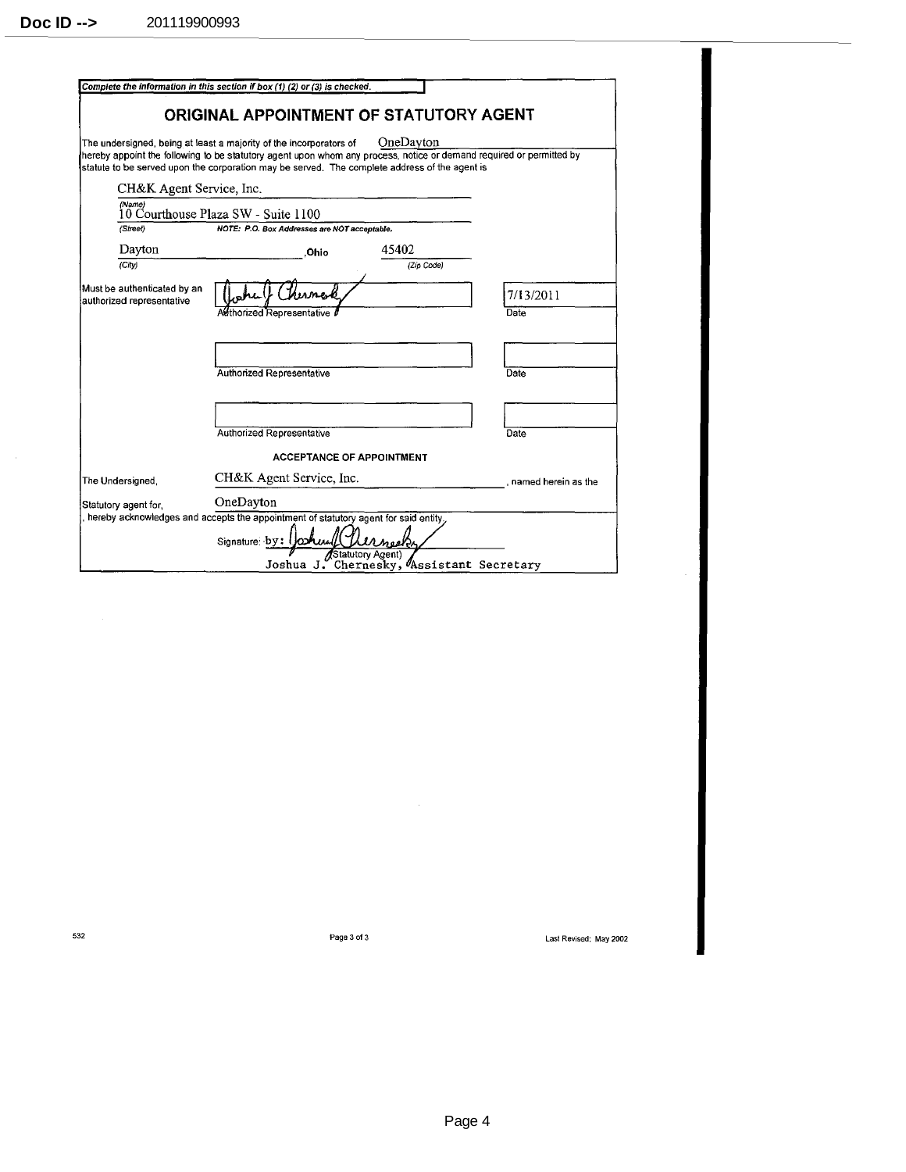$\sim$   $\sim$ 

|                                                          | Complete the information in this section if box (1) (2) or (3) is checked.                                                                                                                |                                          |                       |
|----------------------------------------------------------|-------------------------------------------------------------------------------------------------------------------------------------------------------------------------------------------|------------------------------------------|-----------------------|
|                                                          |                                                                                                                                                                                           |                                          |                       |
|                                                          | ORIGINAL APPOINTMENT OF STATUTORY AGENT                                                                                                                                                   |                                          |                       |
|                                                          |                                                                                                                                                                                           | OneDayton                                |                       |
|                                                          | The undersigned, being at least a majority of the incorporators of<br>hereby appoint the following to be statutory agent upon whom any process, notice or demand required or permitted by |                                          |                       |
|                                                          | statute to be served upon the corporation may be served. The complete address of the agent is                                                                                             |                                          |                       |
| CH&K Agent Service, Inc.                                 |                                                                                                                                                                                           |                                          |                       |
| (Name)                                                   | 10 Courthouse Plaza SW - Suite 1100                                                                                                                                                       |                                          |                       |
| (Street)                                                 | NOTE: P.O. Box Addresses are NOT acceptable.                                                                                                                                              |                                          |                       |
| Dayton                                                   | .Ohio                                                                                                                                                                                     | 45402                                    |                       |
| (City)                                                   |                                                                                                                                                                                           | (Zip Code)                               |                       |
| Must be authenticated by an<br>authorized representative |                                                                                                                                                                                           |                                          | 7/13/2011             |
|                                                          | Althorized Representative                                                                                                                                                                 |                                          | Date                  |
|                                                          |                                                                                                                                                                                           |                                          |                       |
|                                                          |                                                                                                                                                                                           |                                          |                       |
|                                                          | <b>Authorized Representative</b>                                                                                                                                                          |                                          | Date                  |
|                                                          |                                                                                                                                                                                           |                                          |                       |
|                                                          |                                                                                                                                                                                           |                                          |                       |
|                                                          | Authorized Representative                                                                                                                                                                 |                                          | Date                  |
|                                                          |                                                                                                                                                                                           | <b>ACCEPTANCE OF APPOINTMENT</b>         |                       |
| The Undersigned,                                         | CH&K Agent Service, Inc.                                                                                                                                                                  |                                          | , named herein as the |
| Statutory agent for.                                     | OneDayton                                                                                                                                                                                 |                                          |                       |
|                                                          | , hereby acknowledges and accepts the appointment of statutory agent for said entity.                                                                                                     |                                          |                       |
|                                                          | Signature $by: \bigtriangledown$                                                                                                                                                          | <b>AStatutory Agent)</b>                 |                       |
|                                                          |                                                                                                                                                                                           | Joshua J. Chernesky, Assistant Secretary |                       |

 $\hat{\mathcal{A}}$ 

532 Page 3 of3 last Revised: May 2002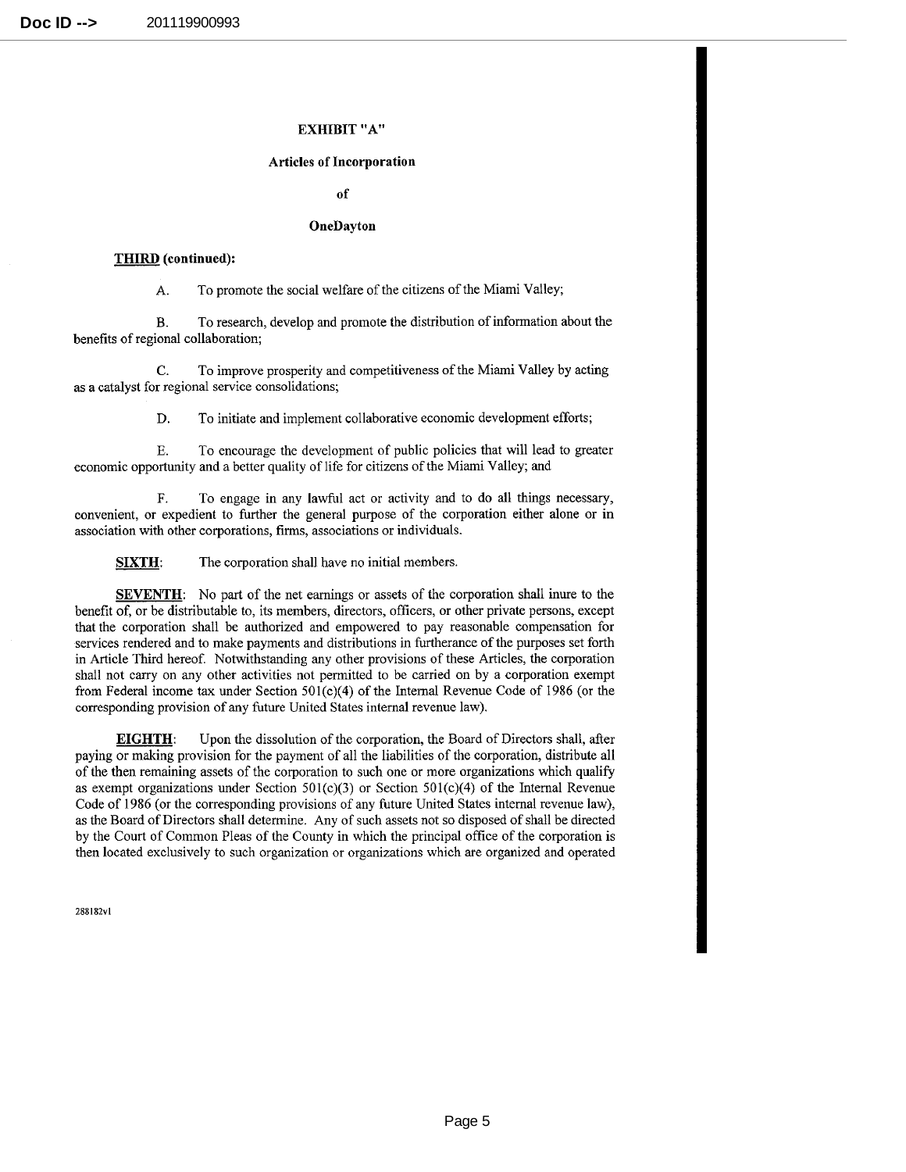### **EXHIBIT** "A"

#### **Articles of Incorporation**

**of** 

#### **OneDayton**

#### **THIRD** (continued):

A. To promote the social welfare of the citizens of the Miami Valley;

B. To research, develop and promote the distribution of information about the benefits of regional collaboration;

C. To improve prosperity and competitiveness of the Miami Valley by acting as a catalyst for regional service consolidations;

D. To initiate and implement collaborative economic development efforts;

E. To encourage the development of public policies that will lead to greater economic opportunity and a better quality of life for citizens of the Miami Valley; and

F. To engage in any lawful act or activity and to do all things necessary, convenient, or expedient to further the general purpose of the corporation either alone or **in**  association with other corporations, firms, associations or individuals.

**SIXTH:** The corporation shall have no initial members.

**SEVENTH:** No part of the net earnings or assets of the corporation shall inure to the benefit of, or be distributable to, its members, directors, officers, or other private persons, except that the corporation shall be authorized and empowered to pay reasonable compensation for services rendered and to make payments and distributions in furtherance of the purposes set forth in Article Third hereof. Notwithstanding any other provisions of these Articles, the corporation shall not carry on any other activities not permitted to be carried on by a corporation exempt from Federal income tax under Section  $501(c)(4)$  of the Internal Revenue Code of 1986 (or the corresponding provision of any future United States internal revenue law).

**EIGHTH:** Upon the dissolution of the corporation, the Board of Directors shall, after paying or making provision for the payment of all the liabilities of the corporation, distribute all of the then remaining assets of the corporation to such one or more organizations which qualify as exempt organizations under Section 50l(c)(3) or Section 50l(c)(4) of the Internal Revenue Code of 1986 (or the corresponding provisions of any future United States internal revenue law), as the Board of Directors shall determine. Any of such assets not so disposed of shall be directed by the Court of Common Pleas of the County in which the principal office of the corporation is then located exclusively to such organization or organizations which are organized and operated

288182vl